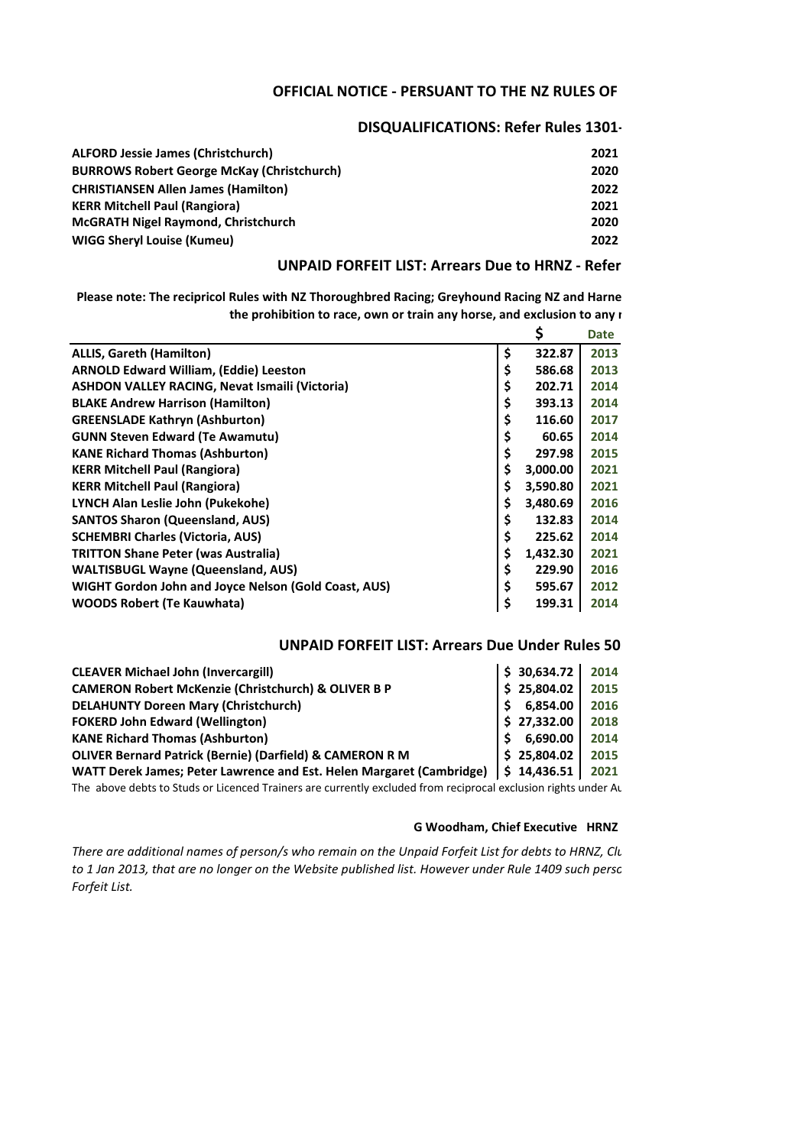# **OFFICIAL NOTICE - PERSUANT TO THE NZ RULES OF**

# **DISQUALIFICATIONS: Refer Rules 1301-**

| <b>ALFORD Jessie James (Christchurch)</b>         | 2021 |
|---------------------------------------------------|------|
| <b>BURROWS Robert George McKay (Christchurch)</b> | 2020 |
| <b>CHRISTIANSEN Allen James (Hamilton)</b>        | 2022 |
| <b>KERR Mitchell Paul (Rangiora)</b>              | 2021 |
| <b>McGRATH Nigel Raymond, Christchurch</b>        | 2020 |
| <b>WIGG Shervl Louise (Kumeu)</b>                 | 2022 |

# **UNPAID FORFEIT LIST: Arrears Due to HRNZ - Refer**

Please note: The recipricol Rules with NZ Thoroughbred Racing; Greyhound Racing NZ and Harne the prohibition to race, own or train any horse, and exclusion to any **r** 

|                                                       | Ş              | <b>Date</b> |
|-------------------------------------------------------|----------------|-------------|
| <b>ALLIS, Gareth (Hamilton)</b>                       | \$<br>322.87   | 2013        |
| <b>ARNOLD Edward William, (Eddie) Leeston</b>         | \$<br>586.68   | 2013        |
| <b>ASHDON VALLEY RACING, Nevat Ismaili (Victoria)</b> | \$<br>202.71   | 2014        |
| <b>BLAKE Andrew Harrison (Hamilton)</b>               | \$<br>393.13   | 2014        |
| <b>GREENSLADE Kathryn (Ashburton)</b>                 | \$<br>116.60   | 2017        |
| <b>GUNN Steven Edward (Te Awamutu)</b>                | \$<br>60.65    | 2014        |
| <b>KANE Richard Thomas (Ashburton)</b>                | \$<br>297.98   | 2015        |
| <b>KERR Mitchell Paul (Rangiora)</b>                  | \$<br>3,000.00 | 2021        |
| <b>KERR Mitchell Paul (Rangiora)</b>                  | \$<br>3,590.80 | 2021        |
| LYNCH Alan Leslie John (Pukekohe)                     | \$<br>3,480.69 | 2016        |
| <b>SANTOS Sharon (Queensland, AUS)</b>                | \$<br>132.83   | 2014        |
| <b>SCHEMBRI Charles (Victoria, AUS)</b>               | \$<br>225.62   | 2014        |
| <b>TRITTON Shane Peter (was Australia)</b>            | \$<br>1,432.30 | 2021        |
| <b>WALTISBUGL Wayne (Queensland, AUS)</b>             | \$<br>229.90   | 2016        |
| WIGHT Gordon John and Joyce Nelson (Gold Coast, AUS)  | \$<br>595.67   | 2012        |
| <b>WOODS Robert (Te Kauwhata)</b>                     | \$<br>199.31   | 2014        |

## **UNPAID FORFEIT LIST: Arrears Due Under Rules 50**

| <b>CLEAVER Michael John (Invercargill)</b>                           | \$30,634.72 | 2014 |
|----------------------------------------------------------------------|-------------|------|
| <b>CAMERON Robert McKenzie (Christchurch) &amp; OLIVER B P</b>       | \$25,804.02 | 2015 |
| <b>DELAHUNTY Doreen Mary (Christchurch)</b>                          | 6,854.00    | 2016 |
| <b>FOKERD John Edward (Wellington)</b>                               | \$27,332.00 | 2018 |
| <b>KANE Richard Thomas (Ashburton)</b>                               | 6,690.00    | 2014 |
| OLIVER Bernard Patrick (Bernie) (Darfield) & CAMERON R M             | \$25,804.02 | 2015 |
| WATT Derek James; Peter Lawrence and Est. Helen Margaret (Cambridge) | \$14,436.51 | 2021 |
|                                                                      |             |      |

The above debts to Studs or Licenced Trainers are currently excluded from reciprocal exclusion rights under Au

#### **G Woodham, Chief Executive HRNZ**

*There are additional names of person/s who remain on the Unpaid Forfeit List for debts to HRNZ, Clu* to 1 Jan 2013, that are no longer on the Website published list. However under Rule 1409 such persc *Forfeit List.*